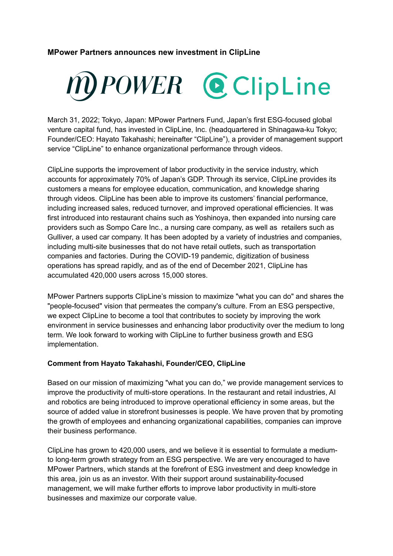# **MPower Partners announces new investment in ClipLine**



March 31, 2022; Tokyo, Japan: MPower Partners Fund, Japan's first ESG-focused global venture capital fund, has invested in ClipLine, Inc. (headquartered in Shinagawa-ku Tokyo; Founder/CEO: Hayato Takahashi; hereinafter "ClipLine"), a provider of management support service "ClipLine" to enhance organizational performance through videos.

ClipLine supports the improvement of labor productivity in the service industry, which accounts for approximately 70% of Japan's GDP. Through its service, ClipLine provides its customers a means for employee education, communication, and knowledge sharing through videos. ClipLine has been able to improve its customers' financial performance, including increased sales, reduced turnover, and improved operational efficiencies. It was first introduced into restaurant chains such as Yoshinoya, then expanded into nursing care providers such as Sompo Care Inc., a nursing care company, as well as retailers such as Gulliver, a used car company. It has been adopted by a variety of industries and companies, including multi-site businesses that do not have retail outlets, such as transportation companies and factories. During the COVID-19 pandemic, digitization of business operations has spread rapidly, and as of the end of December 2021, ClipLine has accumulated 420,000 users across 15,000 stores.

MPower Partners supports ClipLine's mission to maximize "what you can do" and shares the "people-focused" vision that permeates the company's culture. From an ESG perspective, we expect ClipLine to become a tool that contributes to society by improving the work environment in service businesses and enhancing labor productivity over the medium to long term. We look forward to working with ClipLine to further business growth and ESG implementation.

#### **Comment from Hayato Takahashi, Founder/CEO, ClipLine**

Based on our mission of maximizing "what you can do," we provide management services to improve the productivity of multi-store operations. In the restaurant and retail industries, AI and robotics are being introduced to improve operational efficiency in some areas, but the source of added value in storefront businesses is people. We have proven that by promoting the growth of employees and enhancing organizational capabilities, companies can improve their business performance.

ClipLine has grown to 420,000 users, and we believe it is essential to formulate a mediumto long-term growth strategy from an ESG perspective. We are very encouraged to have MPower Partners, which stands at the forefront of ESG investment and deep knowledge in this area, join us as an investor. With their support around sustainability-focused management, we will make further efforts to improve labor productivity in multi-store businesses and maximize our corporate value.